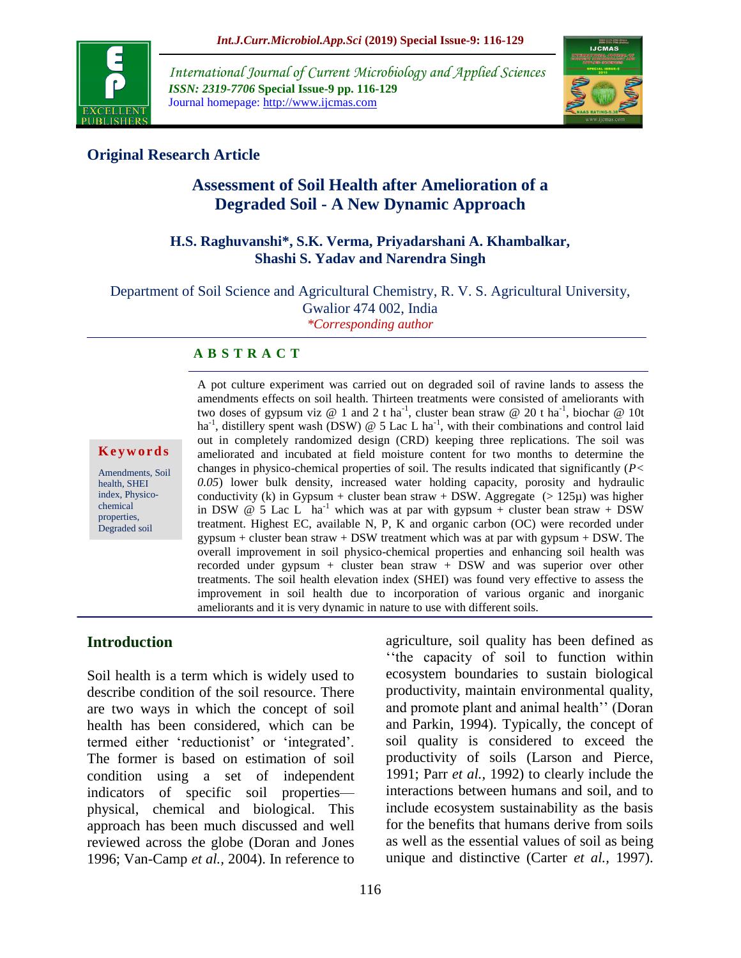

*International Journal of Current Microbiology and Applied Sciences ISSN: 2319-7706* **Special Issue-9 pp. 116-129** Journal homepage: http://www.ijcmas.com



# **Original Research Article**

# **Assessment of Soil Health after Amelioration of a Degraded Soil - A New Dynamic Approach**

#### **H.S. Raghuvanshi\*, S.K. Verma, Priyadarshani A. Khambalkar, Shashi S. Yadav and Narendra Singh**

Department of Soil Science and Agricultural Chemistry, R. V. S. Agricultural University, Gwalior 474 002, India *\*Corresponding author*

#### **A B S T R A C T**

#### **K e y w o r d s**

Amendments, Soil health, SHEI index, Physicochemical properties, Degraded soil

A pot culture experiment was carried out on degraded soil of ravine lands to assess the amendments effects on soil health. Thirteen treatments were consisted of ameliorants with two doses of gypsum viz @ 1 and 2 t ha<sup>-1</sup>, cluster bean straw @ 20 t ha<sup>-1</sup>, biochar @ 10t ha<sup>-1</sup>, distillery spent wash (DSW)  $\omega$  5 Lac L ha<sup>-1</sup>, with their combinations and control laid out in completely randomized design (CRD) keeping three replications. The soil was ameliorated and incubated at field moisture content for two months to determine the changes in physico-chemical properties of soil. The results indicated that significantly (*P< 0.05*) lower bulk density, increased water holding capacity, porosity and hydraulic conductivity (k) in Gypsum + cluster bean straw + DSW. Aggregate  $(>125\mu)$  was higher in DSW  $\omega$  5 Lac L ha<sup>-1</sup> which was at par with gypsum + cluster bean straw + DSW treatment. Highest EC, available N, P, K and organic carbon (OC) were recorded under  $gypsum + cluster bean$  straw  $+$  DSW treatment which was at par with  $gypsum + DSW$ . The overall improvement in soil physico-chemical properties and enhancing soil health was recorded under gypsum + cluster bean straw + DSW and was superior over other treatments. The soil health elevation index (SHEI) was found very effective to assess the improvement in soil health due to incorporation of various organic and inorganic ameliorants and it is very dynamic in nature to use with different soils.

# **Introduction**

Soil health is a term which is widely used to describe condition of the soil resource. There are two ways in which the concept of soil health has been considered, which can be termed either 'reductionist' or 'integrated'. The former is based on estimation of soil condition using a set of independent indicators of specific soil properties physical, chemical and biological. This approach has been much discussed and well reviewed across the globe (Doran and Jones 1996; Van-Camp *et al.,* 2004). In reference to agriculture, soil quality has been defined as ''the capacity of soil to function within ecosystem boundaries to sustain biological productivity, maintain environmental quality, and promote plant and animal health'' (Doran and Parkin, 1994). Typically, the concept of soil quality is considered to exceed the productivity of soils (Larson and Pierce, 1991; Parr *et al.,* 1992) to clearly include the interactions between humans and soil, and to include ecosystem sustainability as the basis for the benefits that humans derive from soils as well as the essential values of soil as being unique and distinctive (Carter *et al.,* 1997).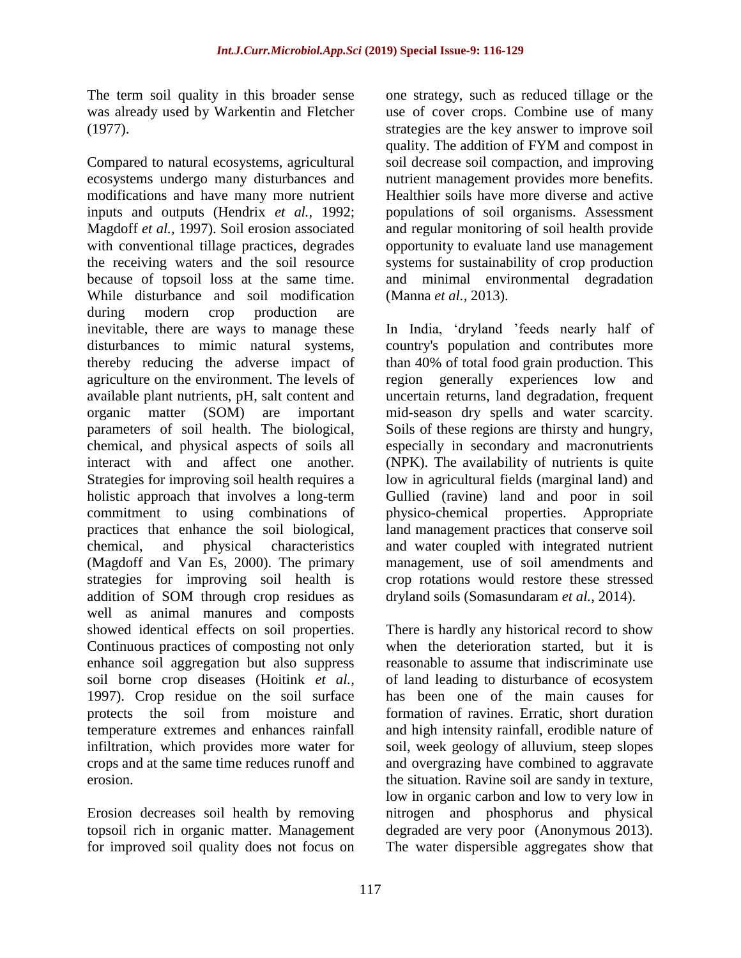The term soil quality in this broader sense was already used by Warkentin and Fletcher (1977).

Compared to natural ecosystems, agricultural ecosystems undergo many disturbances and modifications and have many more nutrient inputs and outputs (Hendrix *et al.,* 1992; Magdoff *et al.,* 1997). Soil erosion associated with conventional tillage practices, degrades the receiving waters and the soil resource because of topsoil loss at the same time. While disturbance and soil modification during modern crop production are inevitable, there are ways to manage these disturbances to mimic natural systems, thereby reducing the adverse impact of agriculture on the environment. The levels of available plant nutrients, pH, salt content and organic matter (SOM) are important parameters of soil health. The biological, chemical, and physical aspects of soils all interact with and affect one another. Strategies for improving soil health requires a holistic approach that involves a long-term commitment to using combinations of practices that enhance the soil biological, chemical, and physical characteristics (Magdoff and Van Es, 2000). The primary strategies for improving soil health is addition of SOM through crop residues as well as animal manures and composts showed identical effects on soil properties. Continuous practices of composting not only enhance soil aggregation but also suppress soil borne crop diseases (Hoitink *et al.,*  1997). Crop residue on the soil surface protects the soil from moisture and temperature extremes and enhances rainfall infiltration, which provides more water for crops and at the same time reduces runoff and erosion.

Erosion decreases soil health by removing topsoil rich in organic matter. Management for improved soil quality does not focus on

one strategy, such as reduced tillage or the use of cover crops. Combine use of many strategies are the key answer to improve soil quality. The addition of FYM and compost in soil decrease soil compaction, and improving nutrient management provides more benefits. Healthier soils have more diverse and active populations of soil organisms. Assessment and regular monitoring of soil health provide opportunity to evaluate land use management systems for sustainability of crop production and minimal environmental degradation (Manna *et al.,* 2013).

In India, 'dryland 'feeds nearly half of country's population and contributes more than 40% of total food grain production. This region generally experiences low and uncertain returns, land degradation, frequent mid-season dry spells and water scarcity. Soils of these regions are thirsty and hungry, especially in secondary and macronutrients (NPK). The availability of nutrients is quite low in agricultural fields (marginal land) and Gullied (ravine) land and poor in soil physico-chemical properties. Appropriate land management practices that conserve soil and water coupled with integrated nutrient management, use of soil amendments and crop rotations would restore these stressed dryland soils (Somasundaram *et al.,* 2014).

There is hardly any historical record to show when the deterioration started, but it is reasonable to assume that indiscriminate use of land leading to disturbance of ecosystem has been one of the main causes for formation of ravines. Erratic, short duration and high intensity rainfall, erodible nature of soil, week geology of alluvium, steep slopes and overgrazing have combined to aggravate the situation. Ravine soil are sandy in texture, low in organic carbon and low to very low in nitrogen and phosphorus and physical degraded are very poor (Anonymous 2013). The water dispersible aggregates show that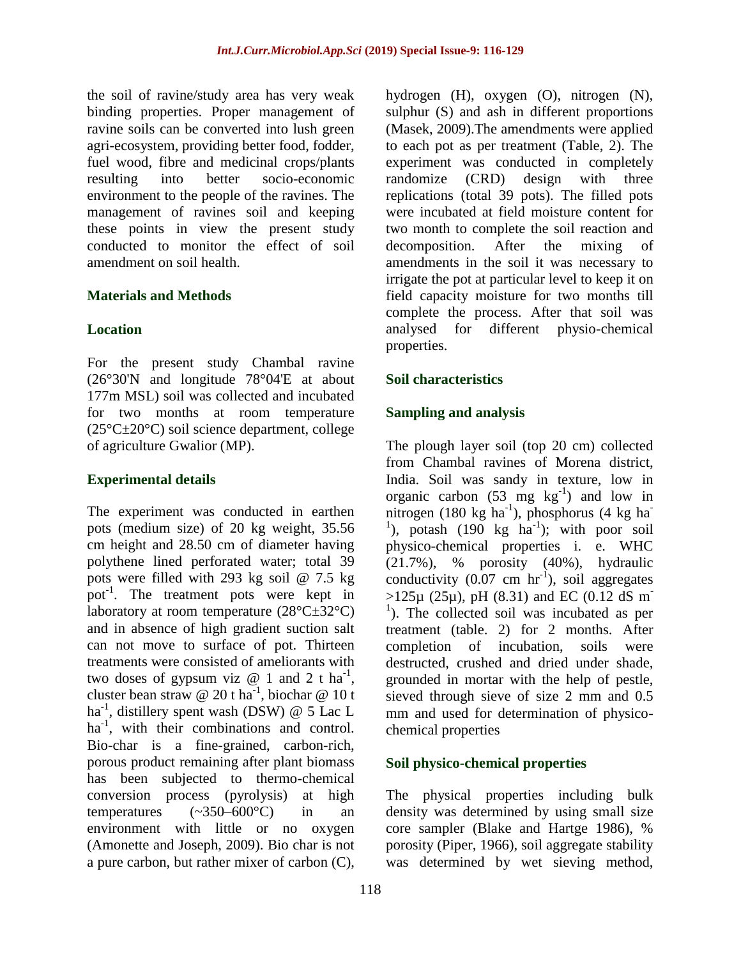the soil of ravine/study area has very weak binding properties. Proper management of ravine soils can be converted into lush green agri-ecosystem, providing better food, fodder, fuel wood, fibre and medicinal crops/plants resulting into better socio-economic environment to the people of the ravines. The management of ravines soil and keeping these points in view the present study conducted to monitor the effect of soil amendment on soil health.

### **Materials and Methods**

### **Location**

For the present study Chambal ravine (26°30'N and longitude 78°04'E at about 177m MSL) soil was collected and incubated for two months at room temperature (25°C±20°C) soil science department, college of agriculture Gwalior (MP).

### **Experimental details**

The experiment was conducted in earthen pots (medium size) of 20 kg weight, 35.56 cm height and 28.50 cm of diameter having polythene lined perforated water; total 39 pots were filled with 293 kg soil @ 7.5 kg pot<sup>-1</sup>. The treatment pots were kept in laboratory at room temperature  $(28^{\circ}C \pm 32^{\circ}C)$ and in absence of high gradient suction salt can not move to surface of pot. Thirteen treatments were consisted of ameliorants with two doses of gypsum viz  $\omega$  1 and 2 t ha<sup>-1</sup>, cluster bean straw @ 20 t ha<sup>-1</sup>, biochar @ 10 t ha<sup>-1</sup>, distillery spent wash (DSW) @ 5 Lac L ha<sup>-1</sup>, with their combinations and control. Bio-char is a fine-grained, carbon-rich, porous product remaining after plant biomass has been subjected to thermo-chemical conversion process (pyrolysis) at high temperatures  $(-350-600^{\circ}C)$  in an environment with little or no oxygen (Amonette and Joseph, 2009). Bio char is not a pure carbon, but rather mixer of carbon (C),

hydrogen (H), oxygen (O), nitrogen (N), sulphur (S) and ash in different proportions (Masek, 2009).The amendments were applied to each pot as per treatment (Table, 2). The experiment was conducted in completely randomize (CRD) design with three replications (total 39 pots). The filled pots were incubated at field moisture content for two month to complete the soil reaction and decomposition. After the mixing of amendments in the soil it was necessary to irrigate the pot at particular level to keep it on field capacity moisture for two months till complete the process. After that soil was analysed for different physio-chemical properties.

# **Soil characteristics**

# **Sampling and analysis**

The plough layer soil (top 20 cm) collected from Chambal ravines of Morena district, India. Soil was sandy in texture, low in organic carbon  $(53 \text{ mg} \text{ kg}^{-1})$  and low in nitrogen (180 kg ha<sup>-1</sup>), phosphorus (4 kg ha<sup>-1</sup>) <sup>1</sup>), potash  $(190 \text{ kg} \text{ ha}^{-1})$ ; with poor soil physico-chemical properties i. e. WHC (21.7%), % porosity (40%), hydraulic conductivity  $(0.07 \text{ cm hr}^{-1})$ , soil aggregates  $>125\mu$  (25 $\mu$ ), pH (8.31) and EC (0.12 dS m<sup>-</sup> <sup>1</sup>). The collected soil was incubated as per treatment (table. 2) for 2 months. After completion of incubation, soils were destructed, crushed and dried under shade, grounded in mortar with the help of pestle, sieved through sieve of size 2 mm and 0.5 mm and used for determination of physicochemical properties

### **Soil physico-chemical properties**

The physical properties including bulk density was determined by using small size core sampler (Blake and Hartge 1986), % porosity (Piper, 1966), soil aggregate stability was determined by wet sieving method,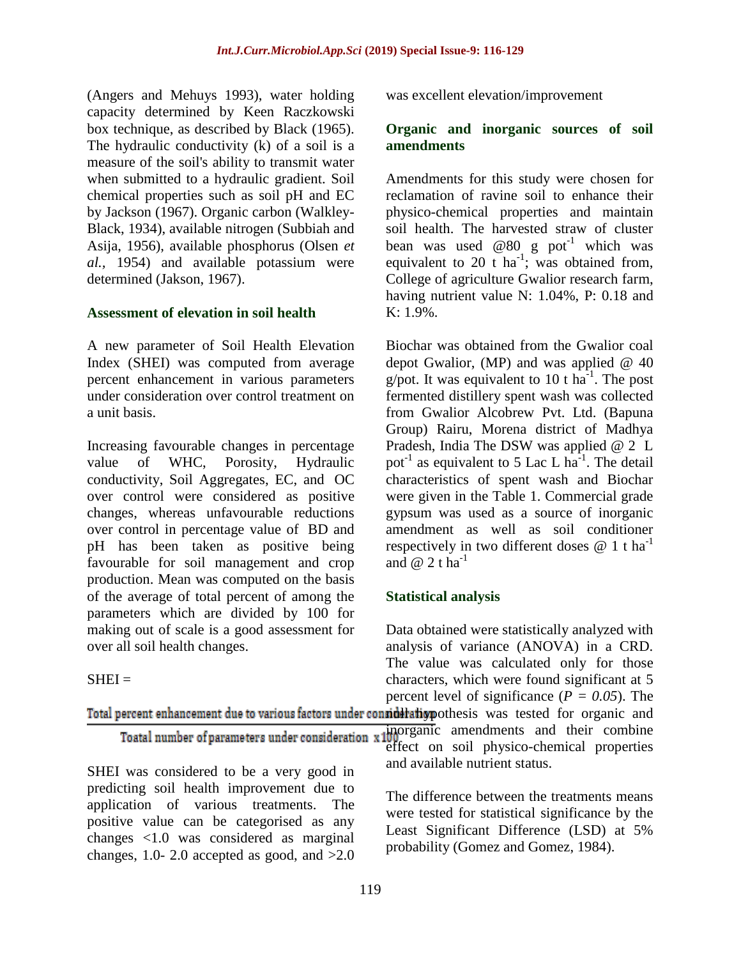(Angers and Mehuys 1993), water holding capacity determined by Keen Raczkowski box technique, as described by Black (1965). The hydraulic conductivity (k) of a soil is a measure of the soil's ability to transmit water when submitted to a hydraulic gradient. Soil chemical properties such as soil pH and EC by Jackson (1967). Organic carbon (Walkley-Black, 1934), available nitrogen (Subbiah and Asija, 1956), available phosphorus (Olsen *et al.,* 1954) and available potassium were determined (Jakson, 1967).

#### **Assessment of elevation in soil health**

A new parameter of Soil Health Elevation Index (SHEI) was computed from average percent enhancement in various parameters under consideration over control treatment on a unit basis.

Increasing favourable changes in percentage value of WHC, Porosity, Hydraulic conductivity, Soil Aggregates, EC, and OC over control were considered as positive changes, whereas unfavourable reductions over control in percentage value of BD and pH has been taken as positive being favourable for soil management and crop production. Mean was computed on the basis of the average of total percent of among the parameters which are divided by 100 for making out of scale is a good assessment for over all soil health changes.

positive value can be categorised as any changes <1.0 was considered as marginal changes, 1.0- 2.0 accepted as good, and  $>2.0$ 

### $SHEI =$

was excellent elevation/improvement

### **Organic and inorganic sources of soil amendments**

Amendments for this study were chosen for reclamation of ravine soil to enhance their physico-chemical properties and maintain soil health. The harvested straw of cluster bean was used @80 g pot<sup>-1</sup> which was equivalent to 20 t ha<sup>-1</sup>; was obtained from, College of agriculture Gwalior research farm, having nutrient value N: 1.04%, P: 0.18 and K: 1.9%.

Biochar was obtained from the Gwalior coal depot Gwalior, (MP) and was applied  $@$  40 g/pot. It was equivalent to 10 t  $\text{ha}^{-1}$ . The post fermented distillery spent wash was collected from Gwalior Alcobrew Pvt. Ltd. (Bapuna Group) Rairu, Morena district of Madhya Pradesh, India The DSW was applied @ 2 L pot<sup>-1</sup> as equivalent to 5 Lac L  $ha^{-1}$ . The detail characteristics of spent wash and Biochar were given in the Table 1. Commercial grade gypsum was used as a source of inorganic amendment as well as soil conditioner respectively in two different doses  $@ 1 t ha^{-1}$ and  $@$  2 t ha<sup>-1</sup>

### **Statistical analysis**

Data obtained were statistically analyzed with analysis of variance (ANOVA) in a CRD. The value was calculated only for those characters, which were found significant at 5 percent level of significance ( $P = 0.05$ ). The

| Total percent enhancement due to various factors under consideration pothesis was tested for organic and |                                                                                                                                                |
|----------------------------------------------------------------------------------------------------------|------------------------------------------------------------------------------------------------------------------------------------------------|
|                                                                                                          | Toatal number of parameters under consideration $x \frac{100}{100}$ amendments and their combine<br>effect on soil physico-chemical properties |
|                                                                                                          |                                                                                                                                                |
| SHEI was considered to be a very good in                                                                 | and available nutrient status.                                                                                                                 |
| predicting soil health improvement due to<br>application of various treatments. The                      | The difference between the treatments means<br>rrians tooted four statistical significances by the                                             |

were tested for statistical significance by the Least Significant Difference (LSD) at 5% probability (Gomez and Gomez, 1984).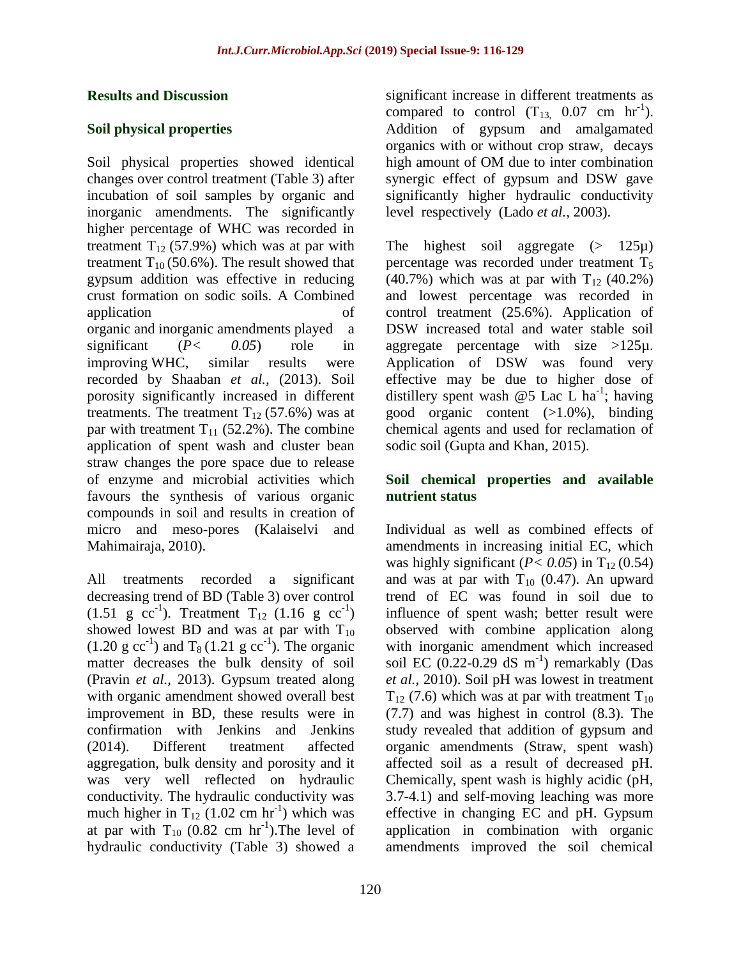### **Results and Discussion**

# **Soil physical properties**

Soil physical properties showed identical changes over control treatment (Table 3) after incubation of soil samples by organic and inorganic amendments. The significantly higher percentage of WHC was recorded in treatment  $T_{12}$  (57.9%) which was at par with treatment  $T_{10}$  (50.6%). The result showed that gypsum addition was effective in reducing crust formation on sodic soils. A Combined application of organic and inorganic amendments played a significant (*P< 0.05*) role in improving WHC, similar results were recorded by Shaaban *et al.,* (2013). Soil porosity significantly increased in different treatments. The treatment  $T_{12}$  (57.6%) was at par with treatment  $T_{11}$  (52.2%). The combine application of spent wash and cluster bean straw changes the pore space due to release of enzyme and microbial activities which favours the synthesis of various organic compounds in soil and results in creation of micro and meso-pores (Kalaiselvi and Mahimairaja, 2010).

All treatments recorded a significant decreasing trend of BD (Table 3) over control  $(1.51 \text{ g } cc^{-1})$ . Treatment T<sub>12</sub>  $(1.16 \text{ g } cc^{-1})$ showed lowest BD and was at par with  $T_{10}$  $(1.20 \text{ g cc}^{-1})$  and T<sub>8</sub> (1.21 g cc<sup>-1</sup>). The organic matter decreases the bulk density of soil (Pravin *et al.,* 2013). Gypsum treated along with organic amendment showed overall best improvement in BD, these results were in confirmation with Jenkins and Jenkins (2014). Different treatment affected aggregation, bulk density and porosity and it was very well reflected on hydraulic conductivity. The hydraulic conductivity was much higher in  $T_{12}$  (1.02 cm hr<sup>-1</sup>) which was at par with  $T_{10}$  (0.82 cm  $hr^{-1}$ ). The level of hydraulic conductivity (Table 3) showed a

significant increase in different treatments as compared to control  $(T_{13}, 0.07 \text{ cm hr}^{-1})$ . Addition of gypsum and amalgamated organics with or without crop straw, decays high amount of OM due to inter combination synergic effect of gypsum and DSW gave significantly higher hydraulic conductivity level respectively (Lado *et al.,* 2003).

The highest soil aggregate  $(> 125\mu)$ percentage was recorded under treatment  $T_5$ (40.7%) which was at par with  $T_{12}$  (40.2%) and lowest percentage was recorded in control treatment (25.6%). Application of DSW increased total and water stable soil aggregate percentage with size  $>125\mu$ . Application of DSW was found very effective may be due to higher dose of distillery spent wash @5 Lac L ha<sup>-1</sup>; having good organic content (>1.0%), binding chemical agents and used for reclamation of sodic soil (Gupta and Khan, 2015).

### **Soil chemical properties and available nutrient status**

Individual as well as combined effects of amendments in increasing initial EC, which was highly significant ( $P < 0.05$ ) in T<sub>12</sub> (0.54) and was at par with  $T_{10}$  (0.47). An upward trend of EC was found in soil due to influence of spent wash; better result were observed with combine application along with inorganic amendment which increased soil EC  $(0.22{\text -}0.29 \text{ dS m}^{-1})$  remarkably (Das *et al.,* 2010). Soil pH was lowest in treatment  $T_{12}$  (7.6) which was at par with treatment  $T_{10}$ (7.7) and was highest in control (8.3). The study revealed that addition of gypsum and organic amendments (Straw, spent wash) affected soil as a result of decreased pH. Chemically, spent wash is highly acidic (pH, 3.7-4.1) and self-moving leaching was more effective in changing EC and pH. Gypsum application in combination with organic amendments improved the soil chemical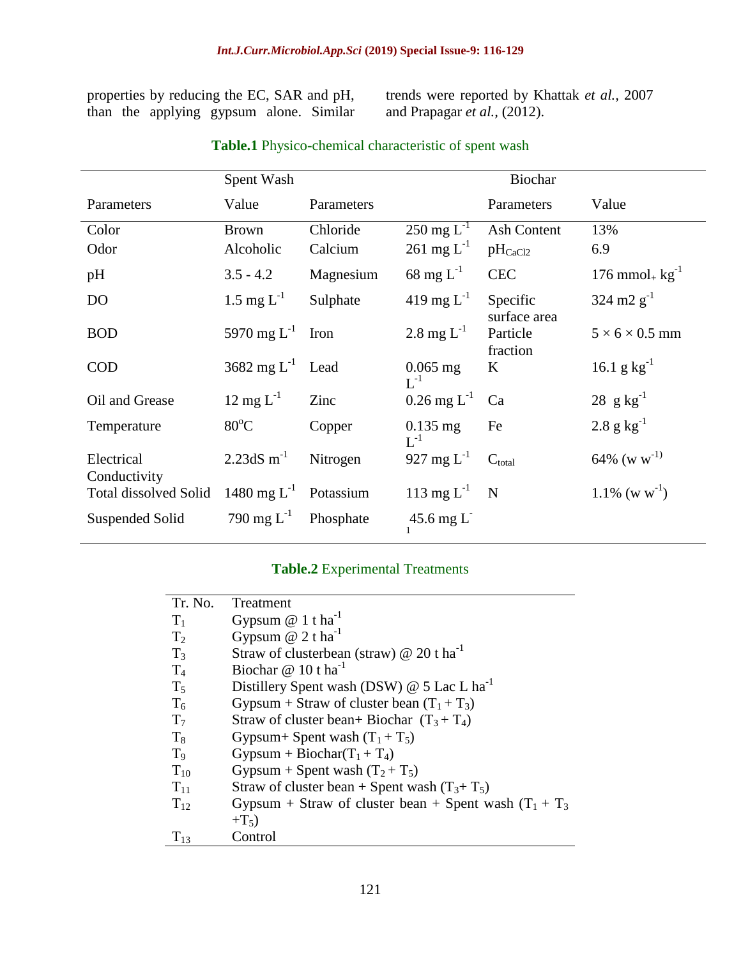properties by reducing the EC, SAR and pH, than the applying gypsum alone. Similar trends were reported by Khattak *et al.,* 2007 and Prapagar *et al.,* (2012).

|                              | Spent Wash              |            |                                         |                          |                                   |
|------------------------------|-------------------------|------------|-----------------------------------------|--------------------------|-----------------------------------|
| Parameters                   | Value                   | Parameters |                                         | Parameters               | Value                             |
| Color                        | <b>Brown</b>            | Chloride   | $250 \text{ mg } L^{-1}$                | <b>Ash Content</b>       | 13%                               |
| Odor                         | Alcoholic               | Calcium    | $261 \text{ mg } L^{-1}$                | $pH_{CaCl2}$             | 6.9                               |
| pH                           | $3.5 - 4.2$             | Magnesium  | 68 mg $L^{-1}$                          | <b>CEC</b>               | $176$ mmol <sub>+</sub> $kg^{-1}$ |
| D <sub>O</sub>               | 1.5 mg $L^{-1}$         | Sulphate   | 419 mg $L^{-1}$                         | Specific<br>surface area | $324 \text{ m2 g}^{-1}$           |
| <b>BOD</b>                   | 5970 mg $L^{-1}$        | Iron       | 2.8 mg $L^{-1}$                         | Particle<br>fraction     | $5 \times 6 \times 0.5$ mm        |
| <b>COD</b>                   | 3682 mg $L^{-1}$        | Lead       | $0.065$ mg<br>$L^{-1}$                  | $\bf K$                  | 16.1 g $kg^{-1}$                  |
| Oil and Grease               | $12 \text{ mg } L^{-1}$ | Zinc       | $0.26 \,\mathrm{mg} \, \mathrm{L}^{-1}$ | Ca                       | 28 $g kg^{-1}$                    |
| Temperature                  | $80^{\circ}$ C          | Copper     | $0.135$ mg<br>$L^{-1}$                  | Fe                       | $2.8 \text{ g kg}^{-1}$           |
| Electrical<br>Conductivity   | 2.23dS $m^{-1}$         | Nitrogen   | 927 mg $L^{-1}$                         | $C_{total}$              | $64\%$ (w w <sup>-1)</sup>        |
| <b>Total dissolved Solid</b> | 1480 mg $L^{-1}$        | Potassium  | 113 mg $L^{-1}$                         | N                        | $1.1\%$ (w w <sup>-1</sup> )      |
| Suspended Solid              | 790 mg $L^{-1}$         | Phosphate  | $45.6$ mg L                             |                          |                                   |

# **Table.1** Physico-chemical characteristic of spent wash

# **Table.2** Experimental Treatments

| Tr. No.        | Treatment                                                 |
|----------------|-----------------------------------------------------------|
| $T_1$          | Gypsum $@ 1$ t ha <sup>-1</sup>                           |
| $T_2$          | Gypsum $@$ 2 t ha <sup>-1</sup>                           |
| $T_3$          | Straw of clusterbean (straw) $@ 20$ t ha <sup>-1</sup>    |
| $T_4$          | Biochar $@10$ t ha <sup>-1</sup>                          |
| $T_5$          | Distillery Spent wash (DSW) @ 5 Lac L ha <sup>-1</sup>    |
| $T_6$          | Gypsum + Straw of cluster bean $(T_1 + T_3)$              |
| T <sub>7</sub> | Straw of cluster bean+ Biochar $(T_3 + T_4)$              |
| $T_8$          | Gypsum+ Spent wash $(T_1 + T_5)$                          |
| T <sub>9</sub> | Gypsum + Biochar $(T_1 + T_4)$                            |
| $T_{10}$       | Gypsum + Spent wash $(T_2 + T_5)$                         |
| $T_{11}$       | Straw of cluster bean + Spent wash $(T_3 + T_5)$          |
| $T_{12}$       | Gypsum + Straw of cluster bean + Spent wash $(T_1 + T_3)$ |
|                | $+T_5$ )                                                  |
| $T_{13}$       | Control                                                   |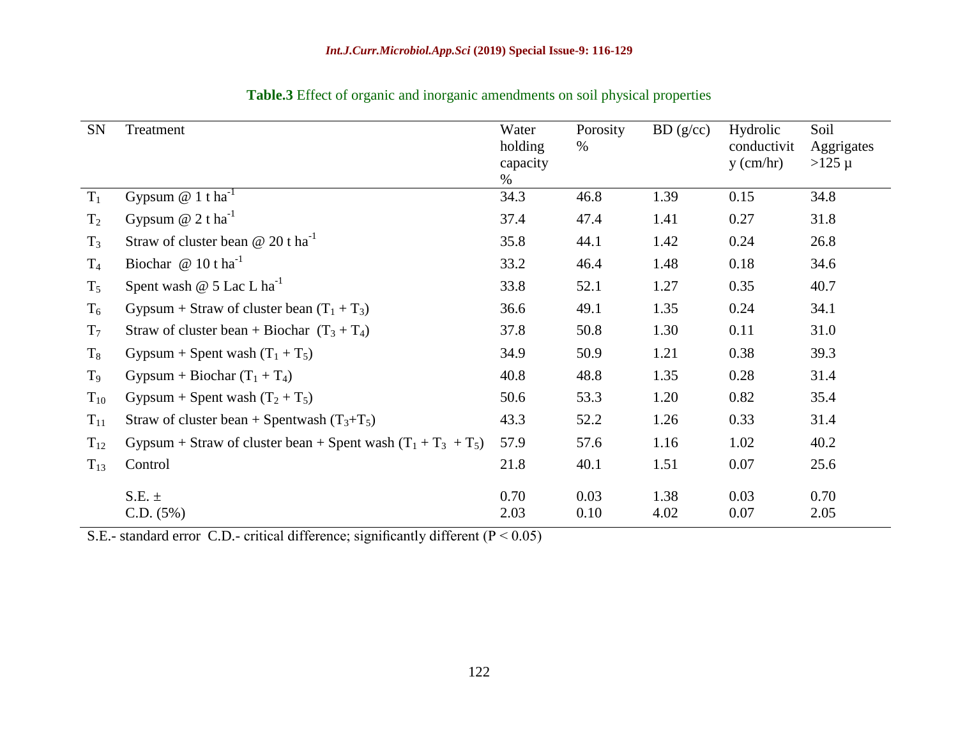| <b>SN</b>      | Treatment                                                       | Water<br>holding<br>capacity<br>$\%$ | Porosity<br>$\%$ | BD(g/cc)     | Hydrolic<br>conductivit<br>$y$ (cm/hr) | Soil<br>Aggrigates<br>$>125 \mu$ |
|----------------|-----------------------------------------------------------------|--------------------------------------|------------------|--------------|----------------------------------------|----------------------------------|
| $T_1$          | Gypsum $@ 1$ t ha <sup>-1</sup>                                 | 34.3                                 | 46.8             | 1.39         | 0.15                                   | 34.8                             |
| $T_2$          | Gypsum $@$ 2 t ha <sup>-1</sup>                                 | 37.4                                 | 47.4             | 1.41         | 0.27                                   | 31.8                             |
| $T_3$          | Straw of cluster bean $\omega$ 20 t ha <sup>-1</sup>            | 35.8                                 | 44.1             | 1.42         | 0.24                                   | 26.8                             |
| $T_4$          | Biochar $@10$ t ha <sup>-1</sup>                                | 33.2                                 | 46.4             | 1.48         | 0.18                                   | 34.6                             |
| $T_5$          | Spent wash $@$ 5 Lac L ha <sup>-1</sup>                         | 33.8                                 | 52.1             | 1.27         | 0.35                                   | 40.7                             |
| $T_6$          | Gypsum + Straw of cluster bean $(T_1 + T_3)$                    | 36.6                                 | 49.1             | 1.35         | 0.24                                   | 34.1                             |
| $T_7$          | Straw of cluster bean + Biochar $(T_3 + T_4)$                   | 37.8                                 | 50.8             | 1.30         | 0.11                                   | 31.0                             |
| $\rm T_{8}$    | Gypsum + Spent wash $(T_1 + T_5)$                               | 34.9                                 | 50.9             | 1.21         | 0.38                                   | 39.3                             |
| T <sub>9</sub> | Gypsum + Biochar $(T_1 + T_4)$                                  | 40.8                                 | 48.8             | 1.35         | 0.28                                   | 31.4                             |
| $T_{10}$       | Gypsum + Spent wash $(T_2 + T_5)$                               | 50.6                                 | 53.3             | 1.20         | 0.82                                   | 35.4                             |
| $T_{11}$       | Straw of cluster bean + Spentwash $(T_3+T_5)$                   | 43.3                                 | 52.2             | 1.26         | 0.33                                   | 31.4                             |
| $T_{12}$       | Gypsum + Straw of cluster bean + Spent wash $(T_1 + T_3 + T_5)$ | 57.9                                 | 57.6             | 1.16         | 1.02                                   | 40.2                             |
| $T_{13}$       | Control                                                         | 21.8                                 | 40.1             | 1.51         | 0.07                                   | 25.6                             |
|                | $S.E. \pm$<br>C.D. (5%)                                         | 0.70<br>2.03                         | 0.03<br>0.10     | 1.38<br>4.02 | 0.03<br>0.07                           | 0.70<br>2.05                     |

**Table.3** Effect of organic and inorganic amendments on soil physical properties

S.E.- standard error C.D.- critical difference; significantly different  $(P < 0.05)$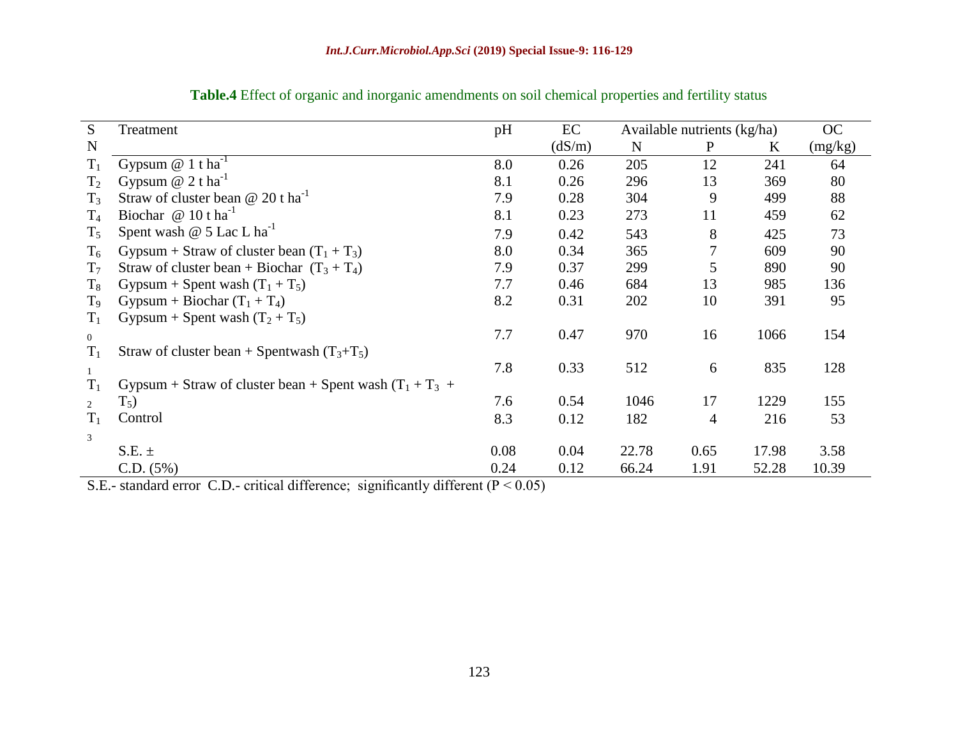| S              | Treatment                                                  | pH   | EC     | Available nutrients (kg/ha) |              |       | OC      |
|----------------|------------------------------------------------------------|------|--------|-----------------------------|--------------|-------|---------|
| $\mathbf N$    |                                                            |      | (dS/m) | N                           | $\mathbf{P}$ | K     | (mg/kg) |
| $T_1$          | Gypsum $@ 1$ t ha <sup>-1</sup>                            | 8.0  | 0.26   | 205                         | 12           | 241   | 64      |
| $T_2$          | Gypsum $@$ 2 t ha <sup>-1</sup>                            | 8.1  | 0.26   | 296                         | 13           | 369   | 80      |
| $T_3$          | Straw of cluster bean $@ 20 t \text{ ha}^{-1}$             | 7.9  | 0.28   | 304                         | 9            | 499   | 88      |
| $T_4$          | Biochar $@10$ t ha <sup>-1</sup>                           | 8.1  | 0.23   | 273                         | 11           | 459   | 62      |
| $T_5$          | Spent wash @ 5 Lac L ha <sup>-1</sup>                      | 7.9  | 0.42   | 543                         | 8            | 425   | 73      |
| $T_6$          | Gypsum + Straw of cluster bean $(T_1 + T_3)$               | 8.0  | 0.34   | 365                         |              | 609   | 90      |
| T <sub>7</sub> | Straw of cluster bean + Biochar $(T_3 + T_4)$              | 7.9  | 0.37   | 299                         |              | 890   | 90      |
| $T_8$          | Gypsum + Spent wash $(T_1 + T_5)$                          | 7.7  | 0.46   | 684                         | 13           | 985   | 136     |
| $T_9$          | Gypsum + Biochar $(T_1 + T_4)$                             | 8.2  | 0.31   | 202                         | 10           | 391   | 95      |
| $T_1$          | Gypsum + Spent wash $(T_2 + T_5)$                          |      |        |                             |              |       |         |
| $\overline{0}$ |                                                            | 7.7  | 0.47   | 970                         | 16           | 1066  | 154     |
| $T_1$          | Straw of cluster bean + Spentwash $(T_3+T_5)$              |      |        |                             |              |       |         |
| $\mathbf{1}$   |                                                            | 7.8  | 0.33   | 512                         | 6            | 835   | 128     |
| $T_1$          | Gypsum + Straw of cluster bean + Spent wash $(T_1 + T_3 +$ |      |        |                             |              |       |         |
| $\overline{2}$ | $T_5$ )                                                    | 7.6  | 0.54   | 1046                        | 17           | 1229  | 155     |
| $T_1$          | Control                                                    | 8.3  | 0.12   | 182                         | 4            | 216   | 53      |
| 3              |                                                            |      |        |                             |              |       |         |
|                | $S.E. \pm$                                                 | 0.08 | 0.04   | 22.78                       | 0.65         | 17.98 | 3.58    |
|                | C.D. (5%)                                                  | 0.24 | 0.12   | 66.24                       | 1.91         | 52.28 | 10.39   |

**Table.4** Effect of organic and inorganic amendments on soil chemical properties and fertility status

S.E.- standard error C.D.- critical difference; significantly different ( $P < 0.05$ )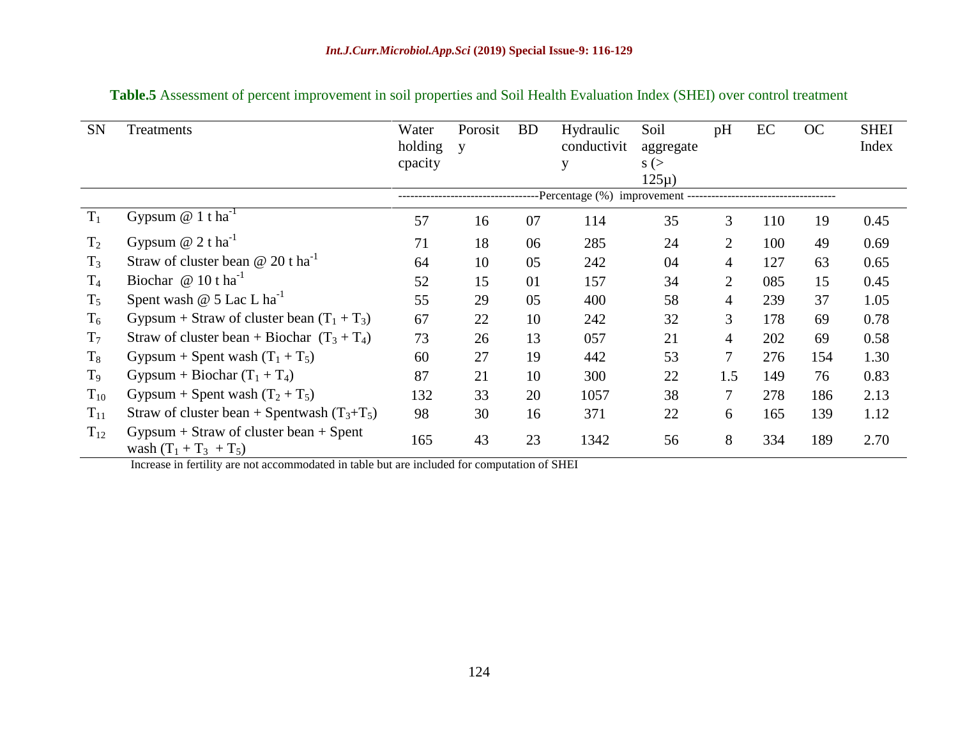| <b>SN</b>      | Treatments                                                             | Water<br>holding | Porosit<br>V | <b>BD</b> | Hydraulic<br>conductivit | Soil<br>aggregate    | pH             | EC  | OC  | <b>SHEI</b><br>Index |
|----------------|------------------------------------------------------------------------|------------------|--------------|-----------|--------------------------|----------------------|----------------|-----|-----|----------------------|
|                |                                                                        | cpacity          |              |           | у                        | $s$ (><br>$125\mu$ ) |                |     |     |                      |
|                |                                                                        |                  |              |           |                          |                      |                |     |     |                      |
| $T_1$          | Gypsum $@ 1$ t ha <sup>-1</sup>                                        | 57               | 16           | 07        | 114                      | 35                   | 3              | 110 | 19  | 0.45                 |
| T <sub>2</sub> | Gypsum $@$ 2 t ha <sup>-1</sup>                                        | 71               | 18           | 06        | 285                      | 24                   | $\overline{2}$ | 100 | 49  | 0.69                 |
| $T_3$          | Straw of cluster bean $@ 20 t \text{ ha}^{-1}$                         | 64               | 10           | 05        | 242                      | 04                   | 4              | 127 | 63  | 0.65                 |
| $T_4$          | Biochar $@10$ t ha <sup>-1</sup>                                       | 52               | 15           | 01        | 157                      | 34                   | 2              | 085 | 15  | 0.45                 |
| $T_5$          | Spent wash $@$ 5 Lac L ha <sup>-1</sup>                                | 55               | 29           | 05        | 400                      | 58                   | 4              | 239 | 37  | 1.05                 |
| $T_6$          | Gypsum + Straw of cluster bean $(T_1 + T_3)$                           | 67               | 22           | 10        | 242                      | 32                   | 3              | 178 | 69  | 0.78                 |
| $T_7$          | Straw of cluster bean + Biochar $(T_3 + T_4)$                          | 73               | 26           | 13        | 057                      | 21                   | 4              | 202 | 69  | 0.58                 |
| $T_8$          | Gypsum + Spent wash $(T_1 + T_5)$                                      | 60               | 27           | 19        | 442                      | 53                   | 7              | 276 | 154 | 1.30                 |
| T <sub>9</sub> | Gypsum + Biochar $(T_1 + T_4)$                                         | 87               | 21           | 10        | 300                      | 22                   | 1.5            | 149 | 76  | 0.83                 |
| $T_{10}$       | Gypsum + Spent wash $(T_2 + T_5)$                                      | 132              | 33           | 20        | 1057                     | 38                   | 7              | 278 | 186 | 2.13                 |
| $T_{11}$       | Straw of cluster bean + Spentwash $(T_3+T_5)$                          | 98               | 30           | 16        | 371                      | 22                   | 6              | 165 | 139 | 1.12                 |
| $T_{12}$       | $Gypsum + Straw$ of cluster bean $+$ Spent<br>wash $(T_1 + T_3 + T_5)$ | 165              | 43           | 23        | 1342                     | 56                   | 8              | 334 | 189 | 2.70                 |

**Table.5** Assessment of percent improvement in soil properties and Soil Health Evaluation Index (SHEI) over control treatment

Increase in fertility are not accommodated in table but are included for computation of SHEI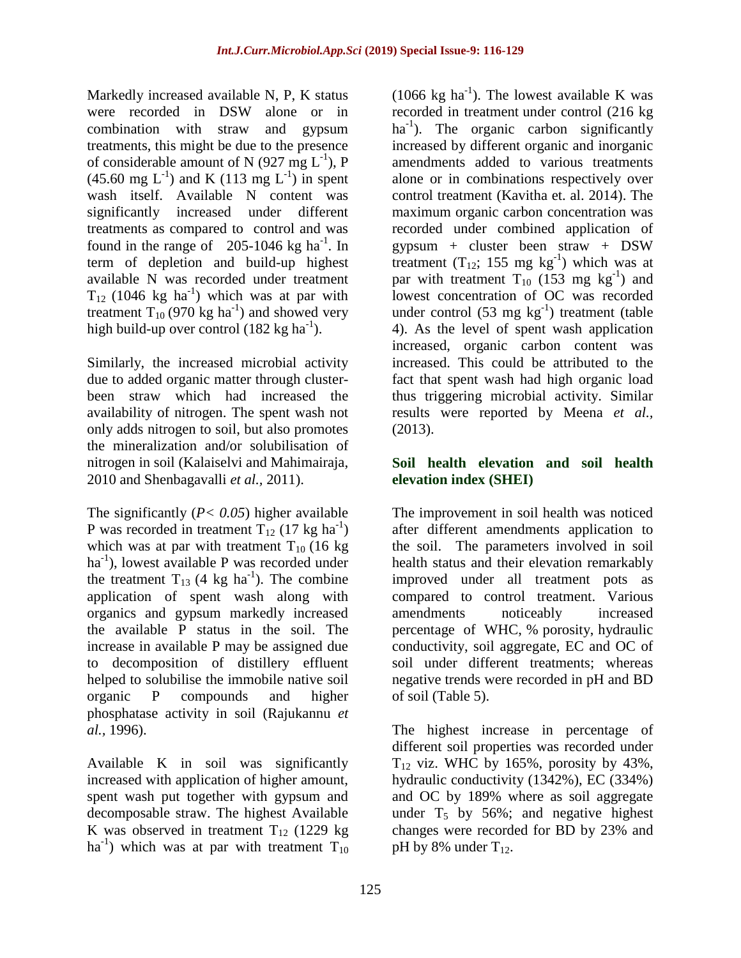Markedly increased available N, P, K status were recorded in DSW alone or in combination with straw and gypsum treatments, this might be due to the presence of considerable amount of N (927 mg  $L^{-1}$ ), P  $(45.60 \text{ mg } L^{-1})$  and K  $(113 \text{ mg } L^{-1})$  in spent wash itself. Available N content was significantly increased under different treatments as compared to control and was found in the range of  $205-1046$  kg ha<sup>-1</sup>. In term of depletion and build-up highest available N was recorded under treatment  $T_{12}$  (1046 kg ha<sup>-1</sup>) which was at par with treatment  $T_{10}$  (970 kg ha<sup>-1</sup>) and showed very high build-up over control  $(182 \text{ kg ha}^{-1})$ .

Similarly, the increased microbial activity due to added organic matter through clusterbeen straw which had increased the availability of nitrogen. The spent wash not only adds nitrogen to soil, but also promotes the mineralization and/or solubilisation of nitrogen in soil (Kalaiselvi and Mahimairaja, 2010 and Shenbagavalli *et al.,* 2011).

The significantly (*P< 0.05*) higher available P was recorded in treatment  $T_{12}$  (17 kg ha<sup>-1</sup>) which was at par with treatment  $T_{10}$  (16 kg) ha<sup>-1</sup>), lowest available P was recorded under the treatment  $T_{13}$  (4 kg ha<sup>-1</sup>). The combine application of spent wash along with organics and gypsum markedly increased the available P status in the soil. The increase in available P may be assigned due to decomposition of distillery effluent helped to solubilise the immobile native soil organic P compounds and higher phosphatase activity in soil (Rajukannu *et al.,* 1996).

Available K in soil was significantly increased with application of higher amount, spent wash put together with gypsum and decomposable straw. The highest Available K was observed in treatment  $T_{12}$  (1229 kg) ha<sup>-1</sup>) which was at par with treatment  $T_{10}$ 

(1066 kg ha<sup>-1</sup>). The lowest available K was recorded in treatment under control (216 kg ha<sup>-1</sup>). The organic carbon significantly increased by different organic and inorganic amendments added to various treatments alone or in combinations respectively over control treatment (Kavitha et. al. 2014). The maximum organic carbon concentration was recorded under combined application of gypsum + cluster been straw + DSW treatment  $(T_{12}; 155 \text{ mg kg}^{-1})$  which was at par with treatment  $T_{10}$  (153 mg kg<sup>-1</sup>) and lowest concentration of OC was recorded under control (53 mg  $kg^{-1}$ ) treatment (table 4). As the level of spent wash application increased, organic carbon content was increased. This could be attributed to the fact that spent wash had high organic load thus triggering microbial activity. Similar results were reported by Meena *et al.,*  (2013).

# **Soil health elevation and soil health elevation index (SHEI)**

The improvement in soil health was noticed after different amendments application to the soil. The parameters involved in soil health status and their elevation remarkably improved under all treatment pots as compared to control treatment. Various amendments noticeably increased percentage of WHC, % porosity, hydraulic conductivity, soil aggregate, EC and OC of soil under different treatments; whereas negative trends were recorded in pH and BD of soil (Table 5).

The highest increase in percentage of different soil properties was recorded under  $T_{12}$  viz. WHC by 165%, porosity by 43%, hydraulic conductivity (1342%), EC (334%) and OC by 189% where as soil aggregate under  $T_5$  by 56%; and negative highest changes were recorded for BD by 23% and pH by 8% under  $T_{12}$ .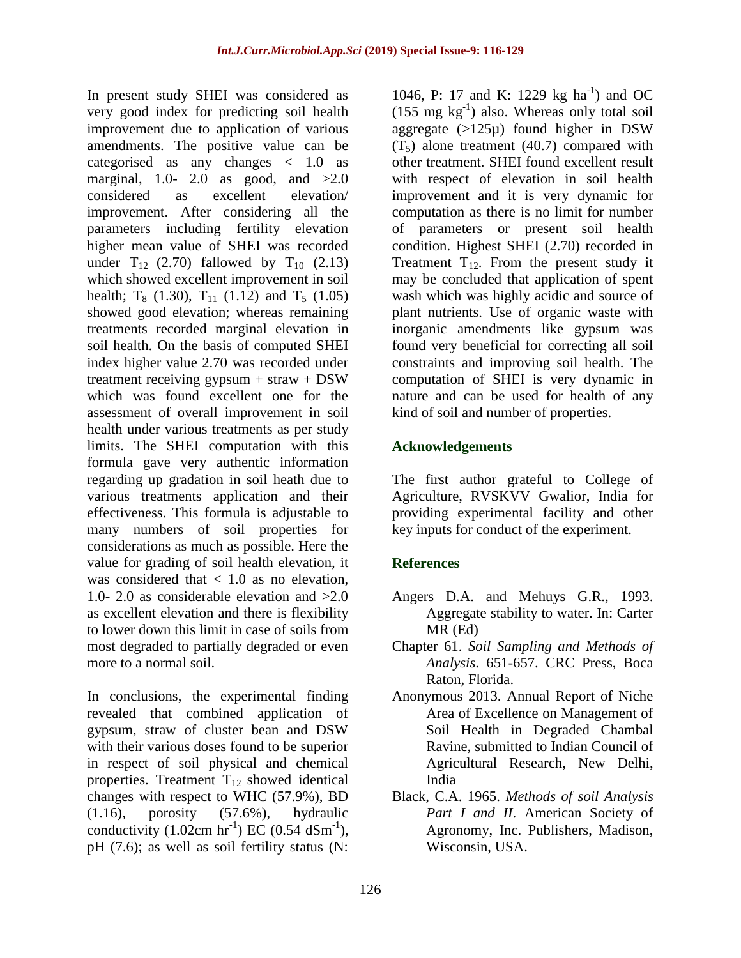In present study SHEI was considered as very good index for predicting soil health improvement due to application of various amendments. The positive value can be categorised as any changes < 1.0 as marginal, 1.0- 2.0 as good, and  $>2.0$ considered as excellent elevation/ improvement. After considering all the parameters including fertility elevation higher mean value of SHEI was recorded under  $T_{12}$  (2.70) fallowed by  $T_{10}$  (2.13) which showed excellent improvement in soil health;  $T_8$  (1.30),  $T_{11}$  (1.12) and  $T_5$  (1.05) showed good elevation; whereas remaining treatments recorded marginal elevation in soil health. On the basis of computed SHEI index higher value 2.70 was recorded under treatment receiving gypsum  $+$  straw  $+$  DSW which was found excellent one for the assessment of overall improvement in soil health under various treatments as per study limits. The SHEI computation with this formula gave very authentic information regarding up gradation in soil heath due to various treatments application and their effectiveness. This formula is adjustable to many numbers of soil properties for considerations as much as possible. Here the value for grading of soil health elevation, it was considered that  $< 1.0$  as no elevation, 1.0- 2.0 as considerable elevation and >2.0 as excellent elevation and there is flexibility to lower down this limit in case of soils from most degraded to partially degraded or even more to a normal soil.

In conclusions, the experimental finding revealed that combined application of gypsum, straw of cluster bean and DSW with their various doses found to be superior in respect of soil physical and chemical properties. Treatment  $T_{12}$  showed identical changes with respect to WHC (57.9%), BD (1.16), porosity (57.6%), hydraulic conductivity  $(1.02 \text{cm hr}^{-1})$  EC  $(0.54 \text{ dSm}^{-1})$ , pH (7.6); as well as soil fertility status (N:

1046, P: 17 and K: 1229 kg ha<sup>-1</sup>) and OC  $(155 \text{ mg kg}^{-1})$  also. Whereas only total soil aggregate  $(>125\mu)$  found higher in DSW  $(T<sub>5</sub>)$  alone treatment (40.7) compared with other treatment. SHEI found excellent result with respect of elevation in soil health improvement and it is very dynamic for computation as there is no limit for number of parameters or present soil health condition. Highest SHEI (2.70) recorded in Treatment  $T_{12}$ . From the present study it may be concluded that application of spent wash which was highly acidic and source of plant nutrients. Use of organic waste with inorganic amendments like gypsum was found very beneficial for correcting all soil constraints and improving soil health. The computation of SHEI is very dynamic in nature and can be used for health of any kind of soil and number of properties.

# **Acknowledgements**

The first author grateful to College of Agriculture, RVSKVV Gwalior, India for providing experimental facility and other key inputs for conduct of the experiment.

# **References**

- Angers D.A. and Mehuys G.R., 1993. Aggregate stability to water. In: Carter MR (Ed)
- Chapter 61. *Soil Sampling and Methods of Analysis*. 651-657. CRC Press, Boca Raton, Florida.
- Anonymous 2013. Annual Report of Niche Area of Excellence on Management of Soil Health in Degraded Chambal Ravine, submitted to Indian Council of Agricultural Research, New Delhi, India
- Black, C.A. 1965. *Methods of soil Analysis*  Part I and II. American Society of Agronomy, Inc. Publishers, Madison, Wisconsin, USA.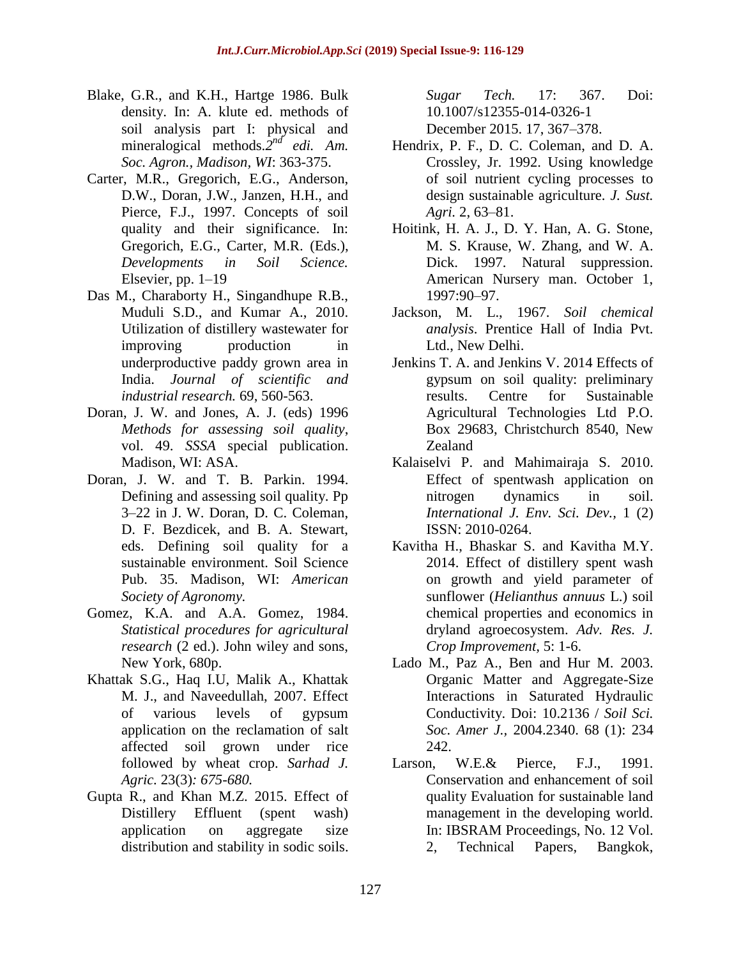- Blake, G.R., and K.H., Hartge 1986. Bulk density. In: A. klute ed. methods of soil analysis part I: physical and mineralogical methods.<sup>2nd</sup> edi. Am. *Soc. Agron., Madison, WI*: 363-375.
- Carter, M.R., Gregorich, E.G., Anderson, D.W., Doran, J.W., Janzen, H.H., and Pierce, F.J., 1997. Concepts of soil quality and their significance. In: Gregorich, E.G., Carter, M.R. (Eds.), *Developments in Soil Science.* Elsevier, pp. 1–19
- Das M., Charaborty H., Singandhupe R.B., Muduli S.D., and Kumar A., 2010. Utilization of distillery wastewater for improving production in underproductive paddy grown area in India. *Journal of scientific and industrial research.* 69, 560-563.
- Doran, J. W. and Jones, A. J. (eds) 1996 *Methods for assessing soil quality*, vol. 49. *SSSA* special publication. Madison, WI: ASA.
- Doran, J. W. and T. B. Parkin. 1994. Defining and assessing soil quality. Pp 3–22 in J. W. Doran, D. C. Coleman, D. F. Bezdicek, and B. A. Stewart, eds. Defining soil quality for a sustainable environment. Soil Science Pub. 35. Madison, WI: *American Society of Agronomy.*
- Gomez, K.A. and A.A. Gomez, 1984. *Statistical procedures for agricultural research* (2 ed.). John wiley and sons, New York, 680p.
- Khattak S.G., Haq I.U, Malik A., Khattak M. J., and Naveedullah, 2007. Effect of various levels of gypsum application on the reclamation of salt affected soil grown under rice followed by wheat crop. *Sarhad J. Agric.* 23(3)*: 675-680.*
- Gupta R., and Khan M.Z. 2015. Effect of Distillery Effluent (spent wash) application on aggregate size distribution and stability in sodic soils.

*Sugar Tech.* 17: 367. Doi: 10.1007/s12355-014-0326-1 December 2015. 17, 367–378.

- Hendrix, P. F., D. C. Coleman, and D. A. Crossley, Jr. 1992. Using knowledge of soil nutrient cycling processes to design sustainable agriculture. *J. Sust. Agri.* 2, 63–81.
- Hoitink, H. A. J., D. Y. Han, A. G. Stone, M. S. Krause, W. Zhang, and W. A. Dick. 1997. Natural suppression. American Nursery man. October 1, 1997:90–97.
- Jackson, M. L., 1967. *Soil chemical analysis*. Prentice Hall of India Pvt. Ltd., New Delhi.
- Jenkins T. A. and Jenkins V. 2014 Effects of gypsum on soil quality: preliminary results. Centre for Sustainable Agricultural Technologies Ltd P.O. Box 29683, Christchurch 8540, New Zealand
- Kalaiselvi P. and Mahimairaja S. 2010. Effect of spentwash application on nitrogen dynamics in soil. *International J. Env. Sci. Dev.,* 1 (2) ISSN: 2010-0264.
- Kavitha H., Bhaskar S. and Kavitha M.Y. 2014. Effect of distillery spent wash on growth and yield parameter of sunflower (*Helianthus annuus* L.) soil chemical properties and economics in dryland agroecosystem. *Adv. Res. J. Crop Improvement,* 5: 1-6.
- Lado M., Paz A., Ben and Hur M. 2003. Organic Matter and Aggregate-Size Interactions in Saturated Hydraulic Conductivity. Doi: 10.2136 / *Soil Sci. Soc. Amer J.,* 2004.2340. 68 (1): 234 242.
- Larson, W.E.& Pierce, F.J., 1991. Conservation and enhancement of soil quality Evaluation for sustainable land management in the developing world. In: IBSRAM Proceedings, No. 12 Vol. 2, Technical Papers, Bangkok,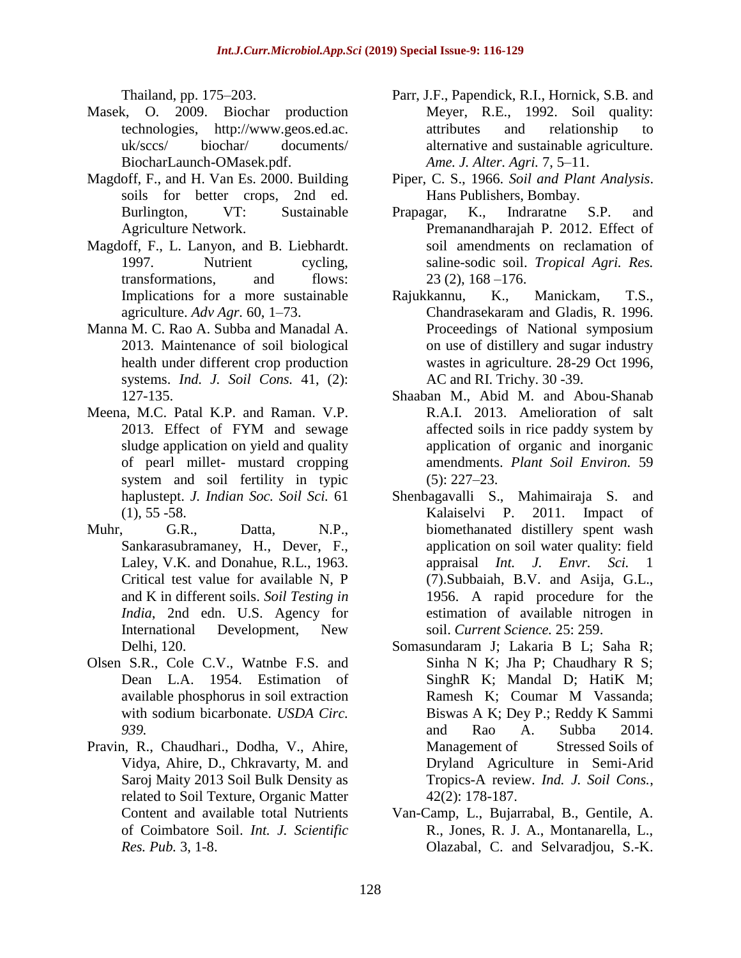Thailand, pp. 175–203.

- Masek, O. 2009. Biochar production technologies, http://www.geos.ed.ac. uk/sccs/ biochar/ documents/ BiocharLaunch-OMasek.pdf.
- Magdoff, F., and H. Van Es. 2000. Building soils for better crops, 2nd ed. Burlington, VT: Sustainable Agriculture Network.
- Magdoff, F., L. Lanyon, and B. Liebhardt. 1997. Nutrient cycling, transformations, and flows: Implications for a more sustainable agriculture. *Adv Agr.* 60, 1–73.
- Manna M. C. Rao A. Subba and Manadal A. 2013. Maintenance of soil biological health under different crop production systems. *Ind. J. Soil Cons.* 41, (2): 127-135.
- Meena, M.C. Patal K.P. and Raman. V.P. 2013. Effect of FYM and sewage sludge application on yield and quality of pearl millet- mustard cropping system and soil fertility in typic haplustept. *J. Indian Soc. Soil Sci.* 61  $(1), 55 - 58.$
- Muhr, G.R., Datta, N.P., Sankarasubramaney, H., Dever, F., Laley, V.K. and Donahue, R.L., 1963. Critical test value for available N, P and K in different soils. *Soil Testing in India*, 2nd edn. U.S. Agency for International Development, New Delhi, 120.
- Olsen S.R., Cole C.V., Watnbe F.S. and Dean L.A. 1954. Estimation of available phosphorus in soil extraction with sodium bicarbonate. *USDA Circ. 939.*
- Pravin, R., Chaudhari., Dodha, V., Ahire, Vidya, Ahire, D., Chkravarty, M. and Saroj Maity 2013 Soil Bulk Density as related to Soil Texture, Organic Matter Content and available total Nutrients of Coimbatore Soil. *Int. J. Scientific Res. Pub.* 3, 1-8.
- Parr, J.F., Papendick, R.I., Hornick, S.B. and Meyer, R.E., 1992. Soil quality: attributes and relationship to alternative and sustainable agriculture. *Ame. J. Alter. Agri.* 7, 5–11.
- Piper, C. S., 1966. *Soil and Plant Analysis*. Hans Publishers, Bombay.
- Prapagar, K., Indraratne S.P. and Premanandharajah P. 2012. Effect of soil amendments on reclamation of saline-sodic soil. *Tropical Agri. Res.*  23 (2), 168 –176.
- Rajukkannu, K., Manickam, T.S., Chandrasekaram and Gladis, R. 1996. Proceedings of National symposium on use of distillery and sugar industry wastes in agriculture. 28-29 Oct 1996, AC and RI. Trichy. 30 -39.
- Shaaban M., Abid M. and Abou-Shanab R.A.I. 2013. Amelioration of salt affected soils in rice paddy system by application of organic and inorganic amendments. *Plant Soil Environ.* 59 (5): 227–23.
- Shenbagavalli S., Mahimairaja S. and Kalaiselvi P. 2011. Impact of biomethanated distillery spent wash application on soil water quality: field appraisal *Int. J. Envr. Sci.* 1 (7).Subbaiah, B.V. and Asija, G.L., 1956. A rapid procedure for the estimation of available nitrogen in soil. *Current Science.* 25: 259.
- Somasundaram J; Lakaria B L; Saha R; Sinha N K; Jha P; Chaudhary R S; SinghR K; Mandal D; HatiK M; Ramesh K; Coumar M Vassanda; Biswas A K; Dey P.; Reddy K Sammi and Rao A. Subba 2014. Management of Stressed Soils of Dryland Agriculture in Semi-Arid Tropics-A review. *Ind. J. Soil Cons.*, 42(2): 178-187.
- Van-Camp, L., Bujarrabal, B., Gentile, A. R., Jones, R. J. A., Montanarella, L., Olazabal, C. and Selvaradjou, S.-K.